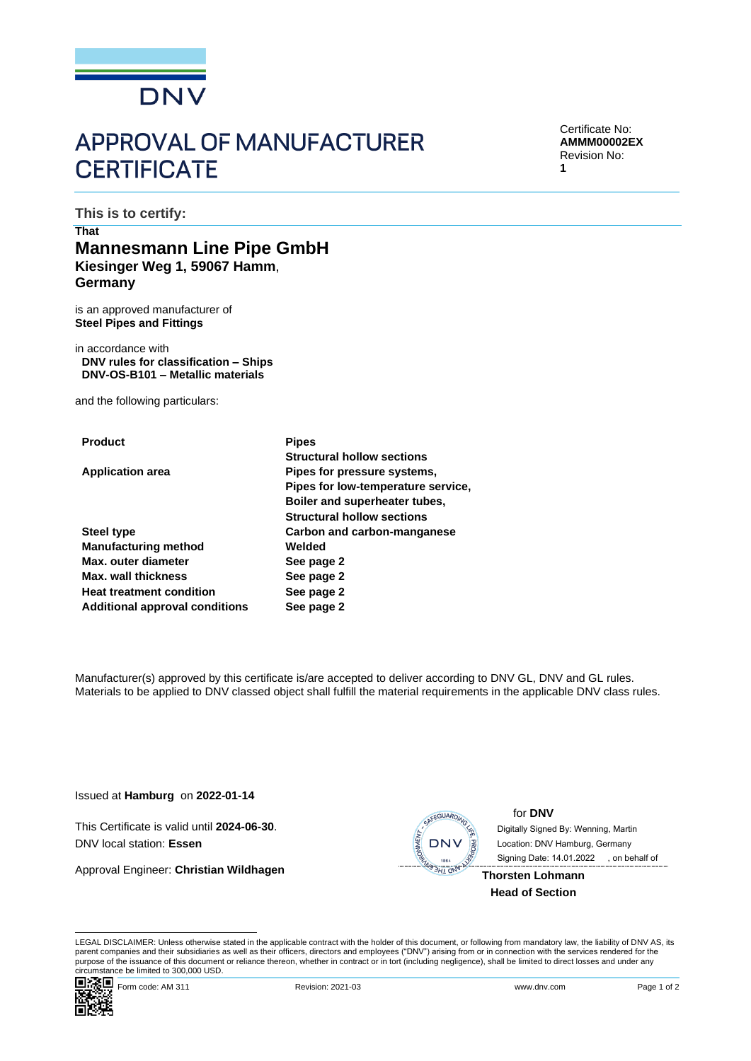

# **APPROVAL OF MANUFACTURER CERTIFICATE**

Certificate No: **AMMM00002EX** Revision No: **1**

**This is to certify:**

# **That Mannesmann Line Pipe GmbH Kiesinger Weg 1, 59067 Hamm**, **Germany**

is an approved manufacturer of **Steel Pipes and Fittings**

in accordance with **DNV rules for classification – Ships DNV-OS-B101 – Metallic materials**

and the following particulars:

| <b>Product</b>                        | <b>Pipes</b>                       |  |
|---------------------------------------|------------------------------------|--|
|                                       | <b>Structural hollow sections</b>  |  |
| <b>Application area</b>               | Pipes for pressure systems,        |  |
|                                       | Pipes for low-temperature service. |  |
|                                       | Boiler and superheater tubes,      |  |
|                                       | <b>Structural hollow sections</b>  |  |
| <b>Steel type</b>                     | Carbon and carbon-manganese        |  |
| <b>Manufacturing method</b>           | Welded                             |  |
| Max. outer diameter                   | See page 2                         |  |
| Max. wall thickness                   | See page 2                         |  |
| <b>Heat treatment condition</b>       | See page 2                         |  |
| <b>Additional approval conditions</b> | See page 2                         |  |
|                                       |                                    |  |

Manufacturer(s) approved by this certificate is/are accepted to deliver according to DNV GL, DNV and GL rules. Materials to be applied to DNV classed object shall fulfill the material requirements in the applicable DNV class rules.

Issued at **Hamburg** on **2022-01-14**

This Certificate is valid until **2024-06-30**. DNV local station: **Essen**

Approval Engineer: **Christian Wildhagen**



for **DNV**

 Signing Date: 14.01.2022 Digitally Signed By: Wenning, Martin Location: DNV Hamburg, Germany , on behalf of

**Thorsten Lohmann Head of Section**

LEGAL DISCLAIMER: Unless otherwise stated in the applicable contract with the holder of this document, or following from mandatory law, the liability of DNV AS, its parent companies and their subsidiaries as well as their officers, directors and employees ("DNV") arising from or in connection with the services rendered for the purpose of the issuance of this document or reliance thereon, whether in contract or in tort (including negligence), shall be limited to direct losses and under any circumstance be limited to 300,000 USD.